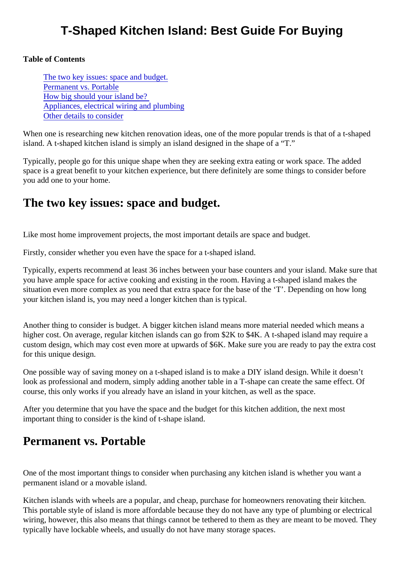## T-Shaped Kitchen Island: Best Guide For Buying

Table of Contents

The two key issues: space and budget. Permanent vs. Portable [How big should your island be](#page-1-0)? [Appliances, electrical wiring and plumbi](#page-1-0)ng [Other details to consid](#page-2-0)er

When one is researching new kitchen renovation ideas, one of the more popular trends is that of a t-shape island. A t-shaped kitchen island is simply an island designed in the shape of a "T."

Typically, people go for this unique shape when they are seeking extra eating or work space. The added space is a great benefit to your kitchen experience, but there definitely are some things to consider before you add one to your home.

#### The two key issues: space and budget.

Like most home improvement projects, the most important details are space and budget.

Firstly, consider whether you even have the space for a t-shaped island.

Typically, experts recommend at least 36 inches between your base counters and your island. Make sure you have ample space for active cooking and existing in the room. Having a t-shaped island makes the situation even more complex as you need that extra space for the base of the 'T'. Depending on how long your kitchen island is, you may need a longer kitchen than is typical.

Another thing to consider is budget. A bigger kitchen island means more material needed which means a higher cost. On average, regular kitchen islands can go from \$2K to \$4K. A t-shaped island may require a custom design, which may cost even more at upwards of \$6K. Make sure you are ready to pay the extra c for this unique design.

One possible way of saving money on a t-shaped island is to make a DIY island design. While it doesn't look as professional and modern, simply adding another table in a T-shape can create the same effect. Of course, this only works if you already have an island in your kitchen, as well as the space.

After you determine that you have the space and the budget for this kitchen addition, the next most important thing to consider is the kind of t-shape island.

#### Permanent vs. Portable

One of the most important things to consider when purchasing any kitchen island is whether you want a permanent island or a movable island.

Kitchen islands with wheels are a popular, and cheap, purchase for homeowners renovating their kitchen. This portable style of island is more affordable because they do not have any type of plumbing or electrical wiring, however, this also means that things cannot be tethered to them as they are meant to be moved. T typically have lockable wheels, and usually do not have many storage spaces.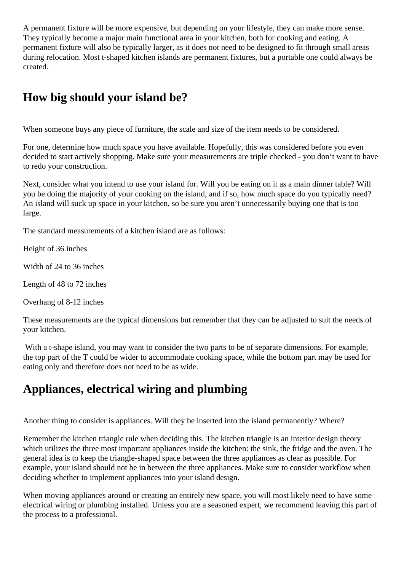<span id="page-1-0"></span>A permanent fixture will be more expensive, but depending on your lifestyle, they can make more sense. They typically become a major main functional area in your kitchen, both for cooking and eating. A permanent fixture will also be typically larger, as it does not need to be designed to fit through small areas during relocation. Most t-shaped kitchen islands are permanent fixtures, but a portable one could always be created.

## **How big should your island be?**

When someone buys any piece of furniture, the scale and size of the item needs to be considered.

For one, determine how much space you have available. Hopefully, this was considered before you even decided to start actively shopping. Make sure your measurements are triple checked - you don't want to have to redo your construction.

Next, consider what you intend to use your island for. Will you be eating on it as a main dinner table? Will you be doing the majority of your cooking on the island, and if so, how much space do you typically need? An island will suck up space in your kitchen, so be sure you aren't unnecessarily buying one that is too large.

The standard measurements of a kitchen island are as follows:

Height of 36 inches

Width of 24 to 36 inches

Length of 48 to 72 inches

Overhang of 8-12 inches

These measurements are the typical dimensions but remember that they can be adjusted to suit the needs of your kitchen.

With a t-shape island, you may want to consider the two parts to be of separate dimensions. For example, the top part of the T could be wider to accommodate cooking space, while the bottom part may be used for eating only and therefore does not need to be as wide.

# **Appliances, electrical wiring and plumbing**

Another thing to consider is appliances. Will they be inserted into the island permanently? Where?

Remember the kitchen triangle rule when deciding this. The kitchen triangle is an interior design theory which utilizes the three most important appliances inside the kitchen: the sink, the fridge and the oven. The general idea is to keep the triangle-shaped space between the three appliances as clear as possible. For example, your island should not be in between the three appliances. Make sure to consider workflow when deciding whether to implement appliances into your island design.

When moving appliances around or creating an entirely new space, you will most likely need to have some electrical wiring or plumbing installed. Unless you are a seasoned expert, we recommend leaving this part of the process to a professional.